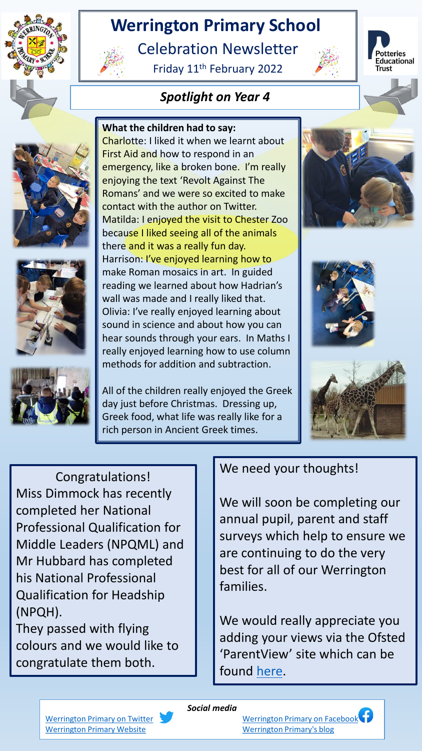

# **Werrington Primary School**

Celebration Newsletter

Friday 11th February 2022



otteries Educational 









**What the children had to say:**

Charlotte: I liked it when we learnt about First Aid and how to respond in an emergency, like a broken bone. I'm really enjoying the text 'Revolt Against The Romans' and we were so excited to make contact with the author on Twitter. Matilda: I enjoyed the visit to Chester Zoo because I liked seeing all of the animals there and it was a really fun day. Harrison: I've enjoyed learning how to make Roman mosaics in art. In guided reading we learned about how Hadrian's wall was made and I really liked that. Olivia: I've really enjoyed learning about sound in science and about how you can hear sounds through your ears. In Maths I really enjoyed learning how to use column methods for addition and subtraction.

All of the children really enjoyed the Greek day just before Christmas. Dressing up, Greek food, what life was really like for a rich person in Ancient Greek times.







Congratulations! Miss Dimmock has recently completed her National Professional Qualification for Middle Leaders (NPQML) and Mr Hubbard has completed his National Professional Qualification for Headship (NPQH).

They passed with flying colours and we would like to congratulate them both.

### We need your thoughts!

We will soon be completing our annual pupil, parent and staff surveys which help to ensure we are continuing to do the very best for all of our Werrington families.

We would really appreciate you adding your views via the Ofsted 'ParentView' site which can be found [here.](https://parentview.ofsted.gov.uk/login?destination=give-your-views)

*Social media*